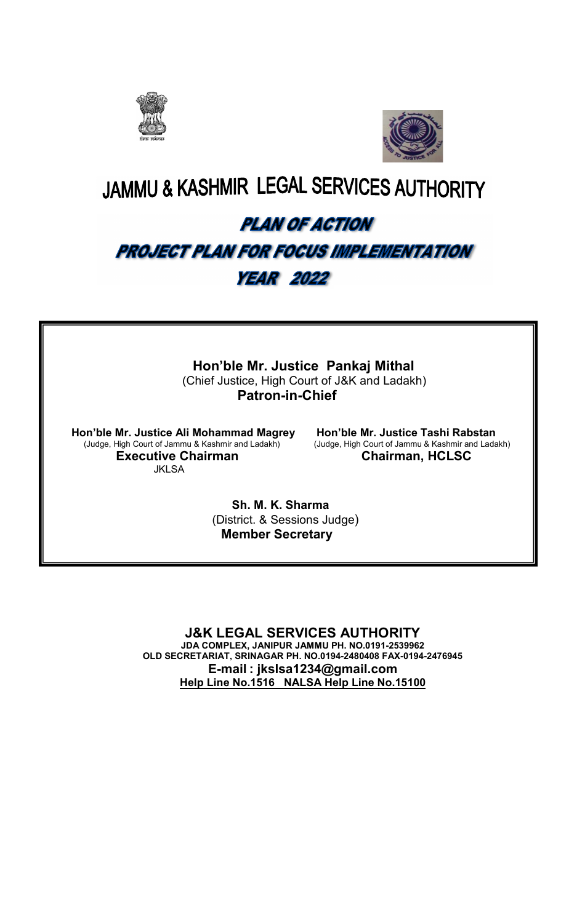



# **JAMMU & KASHMIR LEGAL SERVICES AUTHORITY**

# **PLAN OF ACTION** PROJECT PLAN FOR FOCUS IMPLEMENTATION **YEAR 2022**

 Hon'ble Mr. Justice Pankaj Mithal (Chief Justice, High Court of J&K and Ladakh) Patron-in-Chief

Hon'ble Mr. Justice Ali Mohammad Magrey Hon'ble Mr. Justice Tashi Rabstan<br>(Judge, High Court of Jammu & Kashmir and Ladakh) (Judge, High Court of Jammu & Kashmir and Ladakh) (Judge, High Court of Jammu & Kashmir and Ladakh) (Judge, High Court of Jammu & Kashmir and Ladakh) Executive Chairman Chairman, HCLSC **JKI SA** 

 Sh. M. K. Sharma (District. & Sessions Judge) Member Secretary

J&K LEGAL SERVICES AUTHORITY JDA COMPLEX, JANIPUR JAMMU PH. NO.0191-2539962 OLD SECRETARIAT, SRINAGAR PH. NO.0194-2480408 FAX-0194-2476945 E-mail : jkslsa1234@gmail.com Help Line No.1516 NALSA Help Line No.15100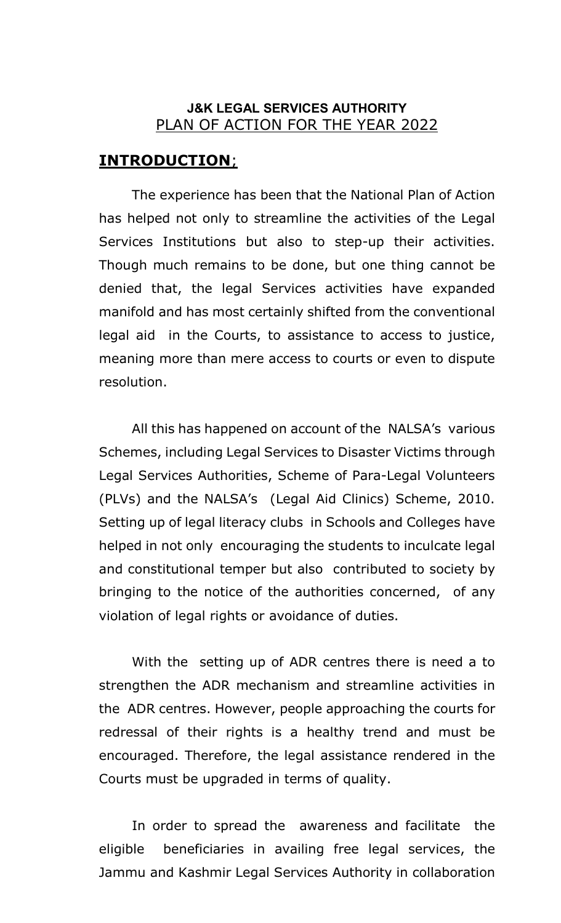### J&K LEGAL SERVICES AUTHORITY PLAN OF ACTION FOR THE YEAR 2022

### INTRODUCTION;

 The experience has been that the National Plan of Action has helped not only to streamline the activities of the Legal Services Institutions but also to step-up their activities. Though much remains to be done, but one thing cannot be denied that, the legal Services activities have expanded manifold and has most certainly shifted from the conventional legal aid in the Courts, to assistance to access to justice, meaning more than mere access to courts or even to dispute resolution.

 All this has happened on account of the NALSA's various Schemes, including Legal Services to Disaster Victims through Legal Services Authorities, Scheme of Para-Legal Volunteers (PLVs) and the NALSA's (Legal Aid Clinics) Scheme, 2010. Setting up of legal literacy clubs in Schools and Colleges have helped in not only encouraging the students to inculcate legal and constitutional temper but also contributed to society by bringing to the notice of the authorities concerned, of any violation of legal rights or avoidance of duties.

 With the setting up of ADR centres there is need a to strengthen the ADR mechanism and streamline activities in the ADR centres. However, people approaching the courts for redressal of their rights is a healthy trend and must be encouraged. Therefore, the legal assistance rendered in the Courts must be upgraded in terms of quality.

In order to spread the awareness and facilitate the eligible beneficiaries in availing free legal services, the Jammu and Kashmir Legal Services Authority in collaboration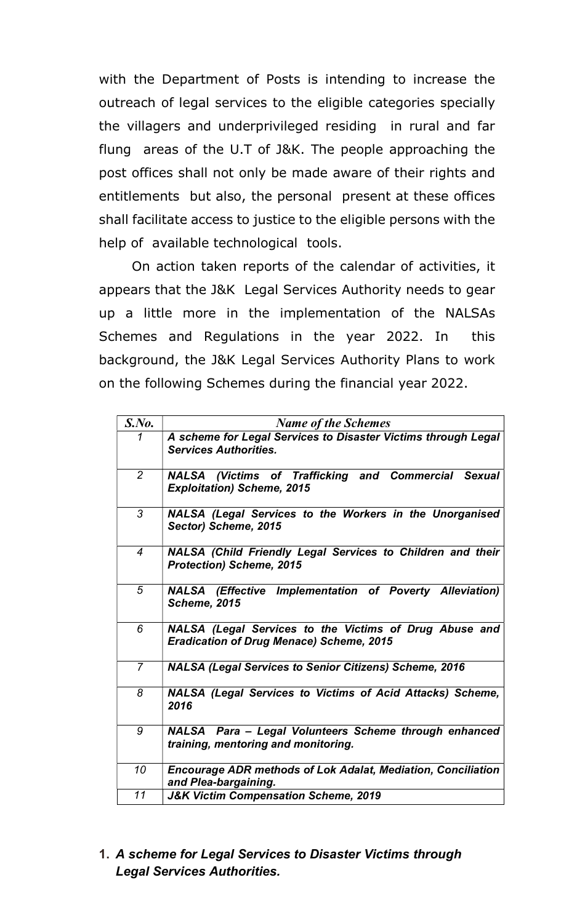with the Department of Posts is intending to increase the outreach of legal services to the eligible categories specially the villagers and underprivileged residing in rural and far flung areas of the U.T of J&K. The people approaching the post offices shall not only be made aware of their rights and entitlements but also, the personal present at these offices shall facilitate access to justice to the eligible persons with the help of available technological tools.

 On action taken reports of the calendar of activities, it appears that the J&K Legal Services Authority needs to gear up a little more in the implementation of the NALSAs Schemes and Regulations in the year 2022. In this background, the J&K Legal Services Authority Plans to work on the following Schemes during the financial year 2022.

| S. No.         | <b>Name of the Schemes</b>                                                                                |
|----------------|-----------------------------------------------------------------------------------------------------------|
| 1              | A scheme for Legal Services to Disaster Victims through Legal<br><b>Services Authorities.</b>             |
| $\overline{2}$ | NALSA (Victims of Trafficking and Commercial Sexual<br><b>Exploitation) Scheme, 2015</b>                  |
| 3              | NALSA (Legal Services to the Workers in the Unorganised<br>Sector) Scheme, 2015                           |
| $\overline{4}$ | NALSA (Child Friendly Legal Services to Children and their<br><b>Protection) Scheme, 2015</b>             |
| 5              | <b>NALSA</b> (Effective Implementation of Poverty Alleviation)<br><b>Scheme, 2015</b>                     |
| 6              | NALSA (Legal Services to the Victims of Drug Abuse and<br><b>Eradication of Drug Menace) Scheme, 2015</b> |
| $\overline{7}$ | <b>NALSA (Legal Services to Senior Citizens) Scheme, 2016</b>                                             |
| 8              | <b>NALSA (Legal Services to Victims of Acid Attacks) Scheme,</b><br>2016                                  |
| 9              | NALSA Para - Legal Volunteers Scheme through enhanced<br>training, mentoring and monitoring.              |
| 10             | <b>Encourage ADR methods of Lok Adalat, Mediation, Conciliation</b><br>and Plea-bargaining.               |
| 11             | <b>J&amp;K Victim Compensation Scheme, 2019</b>                                                           |

1. A scheme for Legal Services to Disaster Victims through Legal Services Authorities.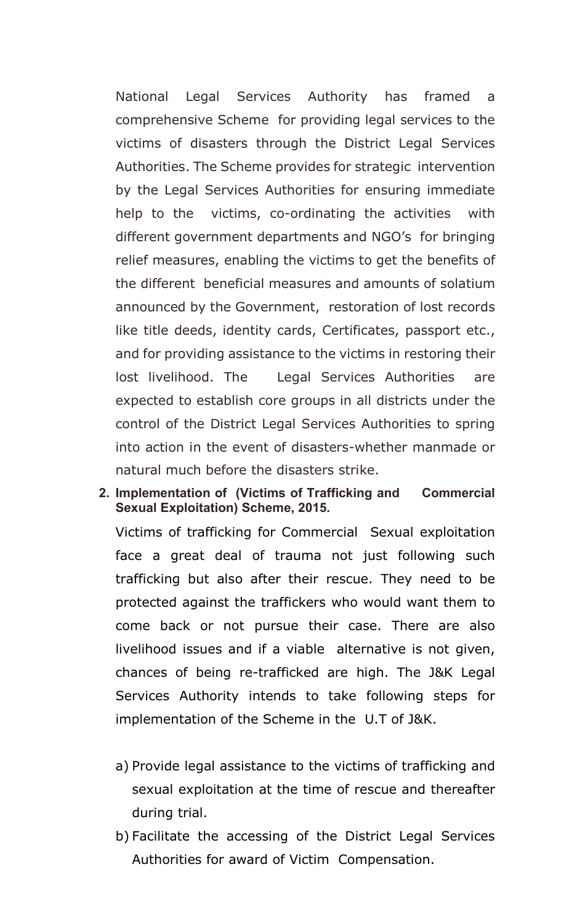National Legal Services Authority has framed a comprehensive Scheme for providing legal services to the victims of disasters through the District Legal Services Authorities. The Scheme provides for strategic intervention by the Legal Services Authorities for ensuring immediate help to the victims, co-ordinating the activities with different government departments and NGO's for bringing relief measures, enabling the victims to get the benefits of the different beneficial measures and amounts of solatium announced by the Government, restoration of lost records like title deeds, identity cards, Certificates, passport etc., and for providing assistance to the victims in restoring their lost livelihood. The Legal Services Authorities are expected to establish core groups in all districts under the control of the District Legal Services Authorities to spring into action in the event of disasters-whether manmade or natural much before the disasters strike.

### 2. Implementation of (Victims of Trafficking and Commercial Sexual Exploitation) Scheme, 2015.

Victims of trafficking for Commercial Sexual exploitation face a great deal of trauma not just following such trafficking but also after their rescue. They need to be protected against the traffickers who would want them to come back or not pursue their case. There are also livelihood issues and if a viable alternative is not given, chances of being re-trafficked are high. The J&K Legal Services Authority intends to take following steps for implementation of the Scheme in the U.T of J&K.

- a) Provide legal assistance to the victims of trafficking and sexual exploitation at the time of rescue and thereafter during trial.
- b) Facilitate the accessing of the District Legal Services Authorities for award of Victim Compensation.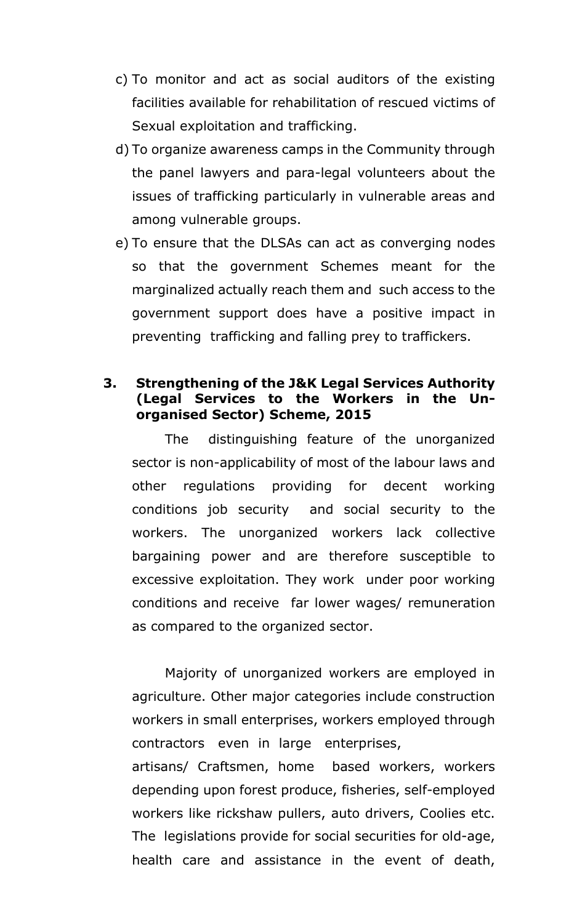- c) To monitor and act as social auditors of the existing facilities available for rehabilitation of rescued victims of Sexual exploitation and trafficking.
- d) To organize awareness camps in the Community through the panel lawyers and para-legal volunteers about the issues of trafficking particularly in vulnerable areas and among vulnerable groups.
- e) To ensure that the DLSAs can act as converging nodes so that the government Schemes meant for the marginalized actually reach them and such access to the government support does have a positive impact in preventing trafficking and falling prey to traffickers.

### 3. Strengthening of the J&K Legal Services Authority (Legal Services to the Workers in the Unorganised Sector) Scheme, 2015

The distinguishing feature of the unorganized sector is non-applicability of most of the labour laws and other regulations providing for decent working conditions job security and social security to the workers. The unorganized workers lack collective bargaining power and are therefore susceptible to excessive exploitation. They work under poor working conditions and receive far lower wages/ remuneration as compared to the organized sector.

 Majority of unorganized workers are employed in agriculture. Other major categories include construction workers in small enterprises, workers employed through contractors even in large enterprises, artisans/ Craftsmen, home based workers, workers depending upon forest produce, fisheries, self-employed workers like rickshaw pullers, auto drivers, Coolies etc. The legislations provide for social securities for old-age, health care and assistance in the event of death,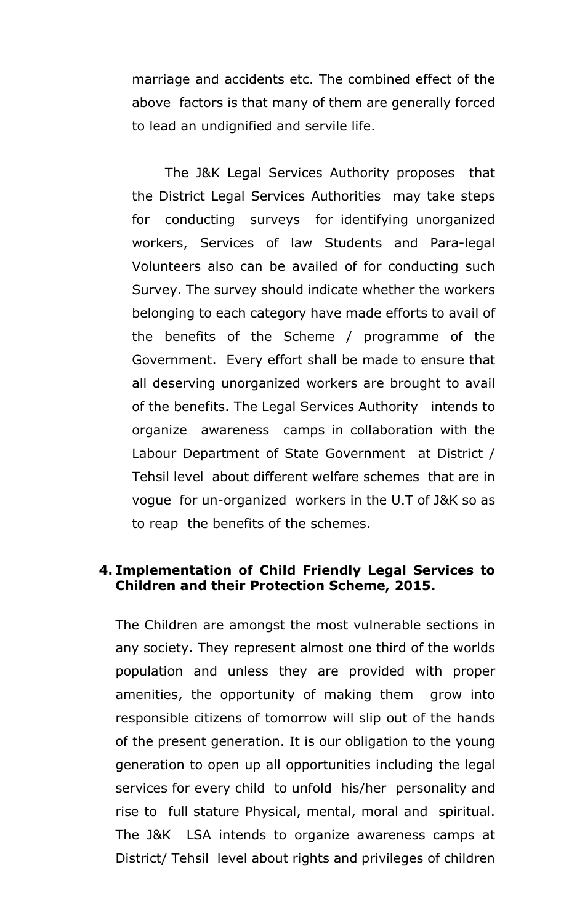marriage and accidents etc. The combined effect of the above factors is that many of them are generally forced to lead an undignified and servile life.

The J&K Legal Services Authority proposes that the District Legal Services Authorities may take steps for conducting surveys for identifying unorganized workers, Services of law Students and Para-legal Volunteers also can be availed of for conducting such Survey. The survey should indicate whether the workers belonging to each category have made efforts to avail of the benefits of the Scheme / programme of the Government. Every effort shall be made to ensure that all deserving unorganized workers are brought to avail of the benefits. The Legal Services Authority intends to organize awareness camps in collaboration with the Labour Department of State Government at District / Tehsil level about different welfare schemes that are in vogue for un-organized workers in the U.T of J&K so as to reap the benefits of the schemes.

### 4. Implementation of Child Friendly Legal Services to Children and their Protection Scheme, 2015.

The Children are amongst the most vulnerable sections in any society. They represent almost one third of the worlds population and unless they are provided with proper amenities, the opportunity of making them grow into responsible citizens of tomorrow will slip out of the hands of the present generation. It is our obligation to the young generation to open up all opportunities including the legal services for every child to unfold his/her personality and rise to full stature Physical, mental, moral and spiritual. The J&K LSA intends to organize awareness camps at District/ Tehsil level about rights and privileges of children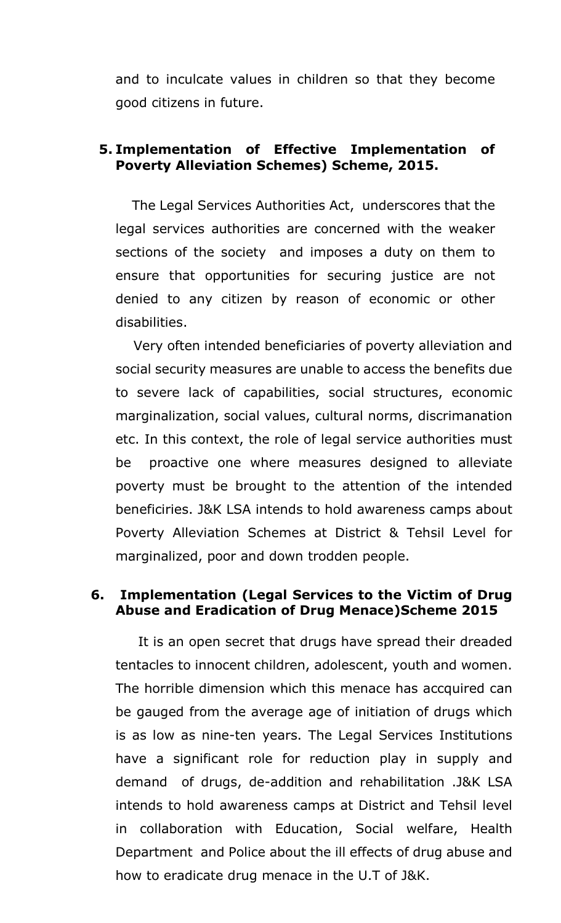and to inculcate values in children so that they become good citizens in future.

### 5. Implementation of Effective Implementation of Poverty Alleviation Schemes) Scheme, 2015.

The Legal Services Authorities Act, underscores that the legal services authorities are concerned with the weaker sections of the society and imposes a duty on them to ensure that opportunities for securing justice are not denied to any citizen by reason of economic or other disabilities.

 Very often intended beneficiaries of poverty alleviation and social security measures are unable to access the benefits due to severe lack of capabilities, social structures, economic marginalization, social values, cultural norms, discrimanation etc. In this context, the role of legal service authorities must be proactive one where measures designed to alleviate poverty must be brought to the attention of the intended beneficiries. J&K LSA intends to hold awareness camps about Poverty Alleviation Schemes at District & Tehsil Level for marginalized, poor and down trodden people.

### 6. Implementation (Legal Services to the Victim of Drug Abuse and Eradication of Drug Menace)Scheme 2015

 It is an open secret that drugs have spread their dreaded tentacles to innocent children, adolescent, youth and women. The horrible dimension which this menace has accquired can be gauged from the average age of initiation of drugs which is as low as nine-ten years. The Legal Services Institutions have a significant role for reduction play in supply and demand of drugs, de-addition and rehabilitation .J&K LSA intends to hold awareness camps at District and Tehsil level in collaboration with Education, Social welfare, Health Department and Police about the ill effects of drug abuse and how to eradicate drug menace in the U.T of J&K.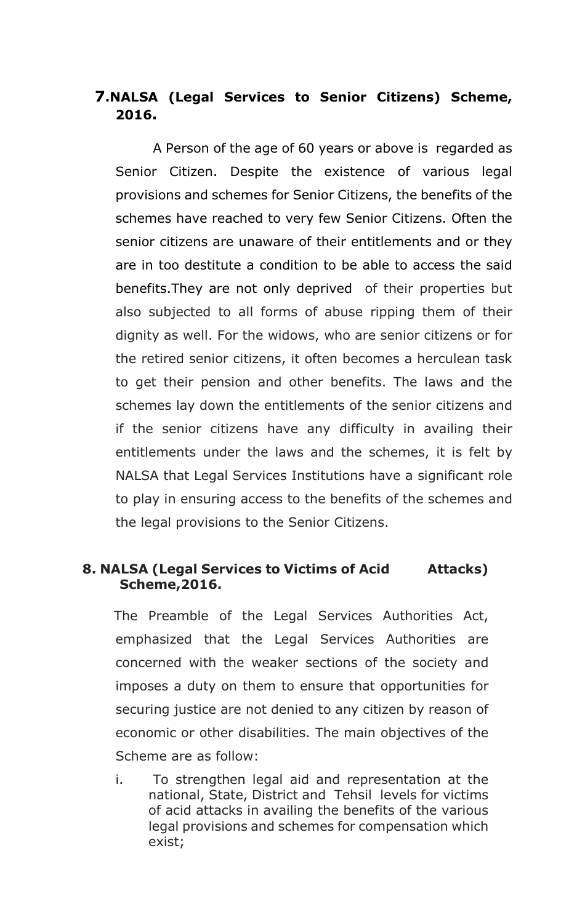### 7.NALSA (Legal Services to Senior Citizens) Scheme, 2016.

 A Person of the age of 60 years or above is regarded as Senior Citizen. Despite the existence of various legal provisions and schemes for Senior Citizens, the benefits of the schemes have reached to very few Senior Citizens. Often the senior citizens are unaware of their entitlements and or they are in too destitute a condition to be able to access the said benefits.They are not only deprived of their properties but also subjected to all forms of abuse ripping them of their dignity as well. For the widows, who are senior citizens or for the retired senior citizens, it often becomes a herculean task to get their pension and other benefits. The laws and the schemes lay down the entitlements of the senior citizens and if the senior citizens have any difficulty in availing their entitlements under the laws and the schemes, it is felt by NALSA that Legal Services Institutions have a significant role to play in ensuring access to the benefits of the schemes and the legal provisions to the Senior Citizens.

### 8. NALSA (Legal Services to Victims of Acid Attacks) Scheme,2016.

 The Preamble of the Legal Services Authorities Act, emphasized that the Legal Services Authorities are concerned with the weaker sections of the society and imposes a duty on them to ensure that opportunities for securing justice are not denied to any citizen by reason of economic or other disabilities. The main objectives of the Scheme are as follow:

i. To strengthen legal aid and representation at the national, State, District and Tehsil levels for victims of acid attacks in availing the benefits of the various legal provisions and schemes for compensation which exist;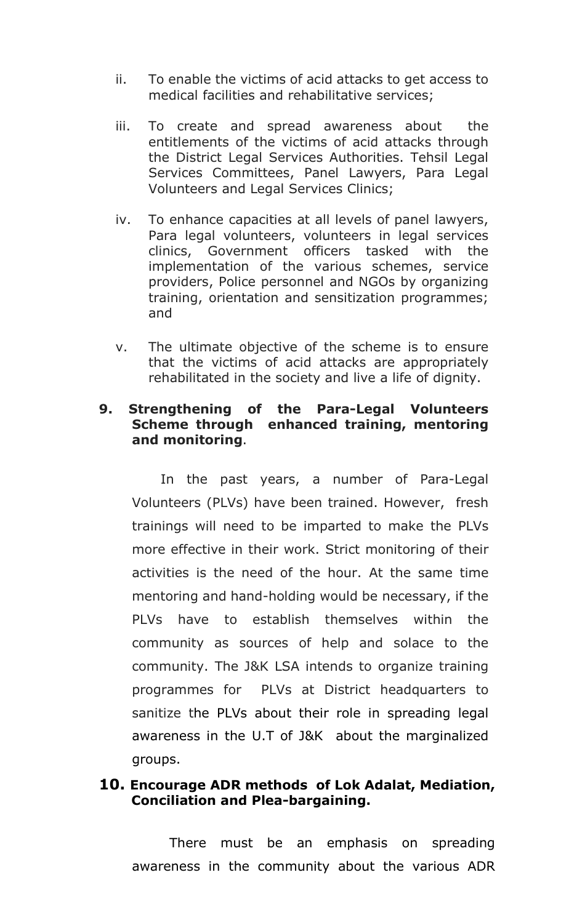- ii. To enable the victims of acid attacks to get access to medical facilities and rehabilitative services;
- iii. To create and spread awareness about the entitlements of the victims of acid attacks through the District Legal Services Authorities. Tehsil Legal Services Committees, Panel Lawyers, Para Legal Volunteers and Legal Services Clinics;
- iv. To enhance capacities at all levels of panel lawyers, Para legal volunteers, volunteers in legal services clinics, Government officers tasked with the implementation of the various schemes, service providers, Police personnel and NGOs by organizing training, orientation and sensitization programmes; and
- v. The ultimate objective of the scheme is to ensure that the victims of acid attacks are appropriately rehabilitated in the society and live a life of dignity.

### 9. Strengthening of the Para-Legal Volunteers Scheme through enhanced training, mentoring and monitoring.

 In the past years, a number of Para-Legal Volunteers (PLVs) have been trained. However, fresh trainings will need to be imparted to make the PLVs more effective in their work. Strict monitoring of their activities is the need of the hour. At the same time mentoring and hand-holding would be necessary, if the PLVs have to establish themselves within the community as sources of help and solace to the community. The J&K LSA intends to organize training programmes for PLVs at District headquarters to sanitize the PLVs about their role in spreading legal awareness in the U.T of J&K about the marginalized groups.

### 10. Encourage ADR methods of Lok Adalat, Mediation, Conciliation and Plea-bargaining.

 There must be an emphasis on spreading awareness in the community about the various ADR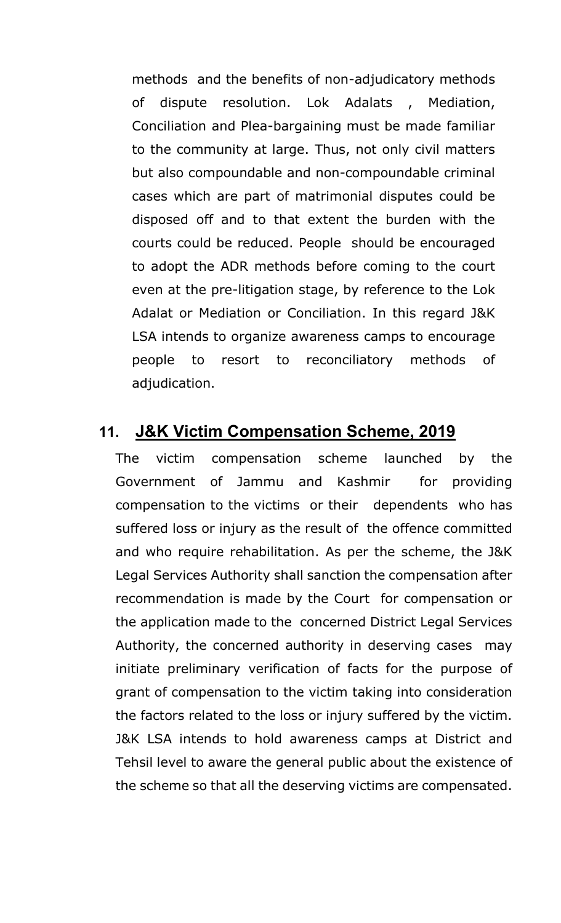methods and the benefits of non-adjudicatory methods of dispute resolution. Lok Adalats , Mediation, Conciliation and Plea-bargaining must be made familiar to the community at large. Thus, not only civil matters but also compoundable and non-compoundable criminal cases which are part of matrimonial disputes could be disposed off and to that extent the burden with the courts could be reduced. People should be encouraged to adopt the ADR methods before coming to the court even at the pre-litigation stage, by reference to the Lok Adalat or Mediation or Conciliation. In this regard J&K LSA intends to organize awareness camps to encourage people to resort to reconciliatory methods of adjudication.

### 11. J&K Victim Compensation Scheme, 2019

The victim compensation scheme launched by the Government of Jammu and Kashmir for providing compensation to the victims or their dependents who has suffered loss or injury as the result of the offence committed and who require rehabilitation. As per the scheme, the J&K Legal Services Authority shall sanction the compensation after recommendation is made by the Court for compensation or the application made to the concerned District Legal Services Authority, the concerned authority in deserving cases may initiate preliminary verification of facts for the purpose of grant of compensation to the victim taking into consideration the factors related to the loss or injury suffered by the victim. J&K LSA intends to hold awareness camps at District and Tehsil level to aware the general public about the existence of the scheme so that all the deserving victims are compensated.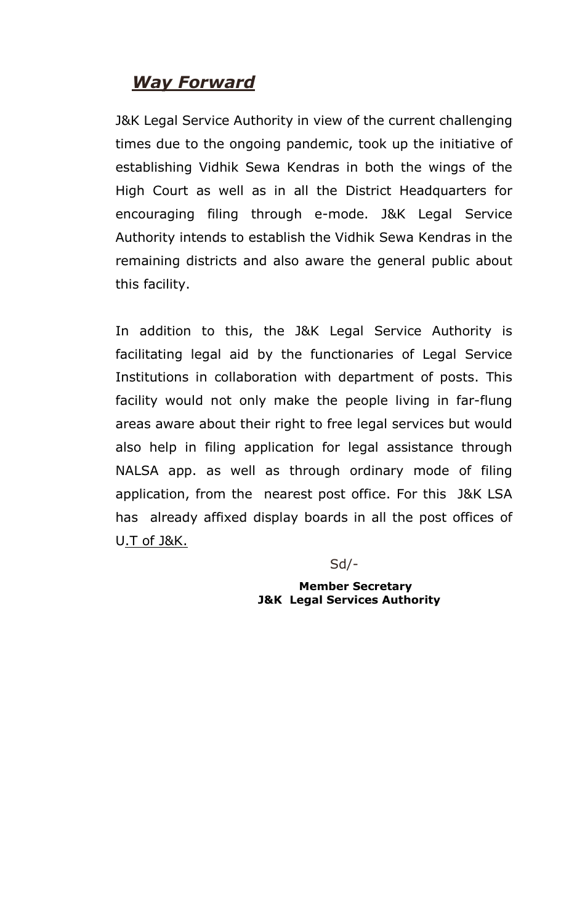# Way Forward

J&K Legal Service Authority in view of the current challenging times due to the ongoing pandemic, took up the initiative of establishing Vidhik Sewa Kendras in both the wings of the High Court as well as in all the District Headquarters for encouraging filing through e-mode. J&K Legal Service Authority intends to establish the Vidhik Sewa Kendras in the remaining districts and also aware the general public about this facility.

In addition to this, the J&K Legal Service Authority is facilitating legal aid by the functionaries of Legal Service Institutions in collaboration with department of posts. This facility would not only make the people living in far-flung areas aware about their right to free legal services but would also help in filing application for legal assistance through NALSA app. as well as through ordinary mode of filing application, from the nearest post office. For this J&K LSA has already affixed display boards in all the post offices of U.T of J&K.

Sd/-

 Member Secretary J&K Legal Services Authority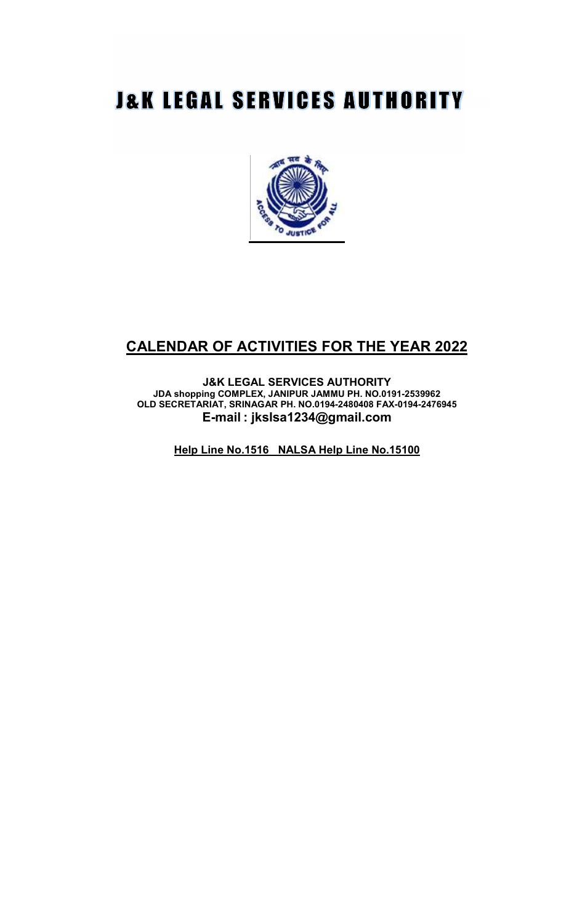# **J&K LEGAL SERVICES AUTHORITY**



## CALENDAR OF ACTIVITIES FOR THE YEAR 2022

J&K LEGAL SERVICES AUTHORITY JDA shopping COMPLEX, JANIPUR JAMMU PH. NO.0191-2539962 OLD SECRETARIAT, SRINAGAR PH. NO.0194-2480408 FAX-0194-2476945 E-mail : jkslsa1234@gmail.com

Help Line No.1516 NALSA Help Line No.15100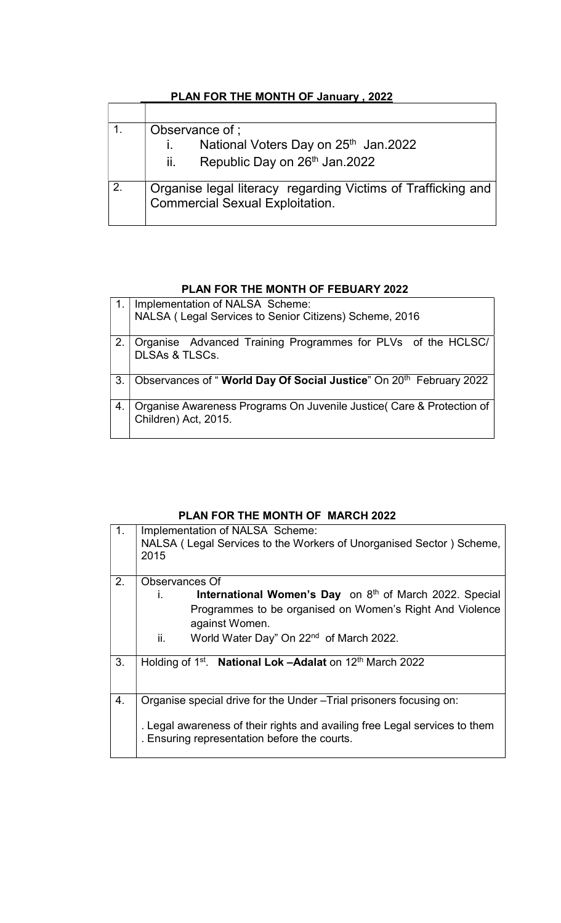|    | Observance of;                                                                                         |
|----|--------------------------------------------------------------------------------------------------------|
|    | National Voters Day on 25th Jan.2022                                                                   |
|    | Republic Day on 26th Jan.2022<br>ii.                                                                   |
| 2. | Organise legal literacy regarding Victims of Trafficking and<br><b>Commercial Sexual Exploitation.</b> |

### PLAN FOR THE MONTH OF January, 2022

### PLAN FOR THE MONTH OF FEBUARY 2022

|                | Implementation of NALSA Scheme:                                                               |
|----------------|-----------------------------------------------------------------------------------------------|
|                | NALSA (Legal Services to Senior Citizens) Scheme, 2016                                        |
|                | Organise Advanced Training Programmes for PLVs of the HCLSC/<br><b>DLSAs &amp; TLSCs.</b>     |
| 3 <sub>1</sub> | Observances of "World Day Of Social Justice" On 20 <sup>th</sup> February 2022                |
| 4.             | Organise Awareness Programs On Juvenile Justice (Care & Protection of<br>Children) Act, 2015. |

### PLAN FOR THE MONTH OF MARCH 2022

| 1. | Implementation of NALSA Scheme:<br>NALSA (Legal Services to the Workers of Unorganised Sector) Scheme,<br>2015             |
|----|----------------------------------------------------------------------------------------------------------------------------|
| 2. | Observances Of                                                                                                             |
|    | International Women's Day on 8th of March 2022. Special<br>$\mathbf{I}$                                                    |
|    | Programmes to be organised on Women's Right And Violence                                                                   |
|    | against Women.                                                                                                             |
|    | ii.<br>World Water Day" On 22 <sup>nd</sup> of March 2022.                                                                 |
|    |                                                                                                                            |
| 3. | Holding of 1 <sup>st</sup> . National Lok -Adalat on 12 <sup>th</sup> March 2022                                           |
|    |                                                                                                                            |
| 4. | Organise special drive for the Under - Trial prisoners focusing on:                                                        |
|    | . Legal awareness of their rights and availing free Legal services to them<br>. Ensuring representation before the courts. |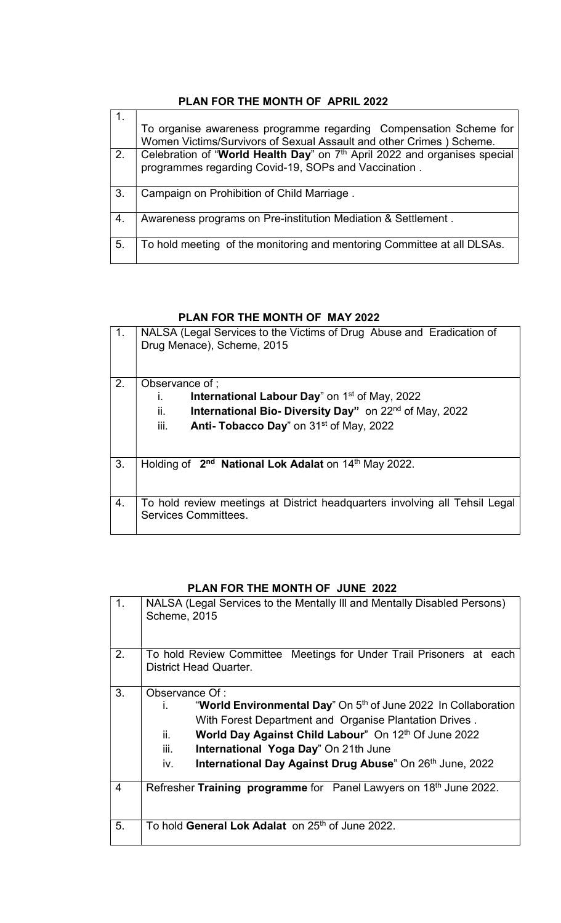### PLAN FOR THE MONTH OF APRIL 2022

|    | To organise awareness programme regarding Compensation Scheme for         |
|----|---------------------------------------------------------------------------|
|    | Women Victims/Survivors of Sexual Assault and other Crimes ) Scheme.      |
| 2. | Celebration of "World Health Day" on 7th April 2022 and organises special |
|    | programmes regarding Covid-19, SOPs and Vaccination.                      |
| 3. | Campaign on Prohibition of Child Marriage.                                |
| 4. | Awareness programs on Pre-institution Mediation & Settlement.             |
| 5. | To hold meeting of the monitoring and mentoring Committee at all DLSAs.   |

#### PLAN FOR THE MONTH OF MAY 2022

| (1, | NALSA (Legal Services to the Victims of Drug Abuse and Eradication of<br>Drug Menace), Scheme, 2015 |
|-----|-----------------------------------------------------------------------------------------------------|
| 2.  | Observance of ;                                                                                     |
|     | <b>International Labour Day</b> " on $1st$ of May, 2022<br>ı.                                       |
|     | ii.<br>International Bio- Diversity Day" on 22 <sup>nd</sup> of May, 2022                           |
|     | iii.<br>Anti- Tobacco Day" on 31 <sup>st</sup> of May, 2022                                         |
|     |                                                                                                     |
| 3.  | Holding of 2 <sup>nd</sup> National Lok Adalat on 14 <sup>th</sup> May 2022.                        |
|     |                                                                                                     |
| 4.  | To hold review meetings at District headquarters involving all Tehsil Legal<br>Services Committees. |
|     |                                                                                                     |

### PLAN FOR THE MONTH OF JUNE 2022

| $\mathbf{1}$ . | NALSA (Legal Services to the Mentally III and Mentally Disabled Persons)<br><b>Scheme, 2015</b>                                                                                                                                                                                                                                                 |
|----------------|-------------------------------------------------------------------------------------------------------------------------------------------------------------------------------------------------------------------------------------------------------------------------------------------------------------------------------------------------|
| 2.             | To hold Review Committee Meetings for Under Trail Prisoners at each<br>District Head Quarter.                                                                                                                                                                                                                                                   |
| 3.             | Observance Of :<br>"World Environmental Day" On 5 <sup>th</sup> of June 2022 In Collaboration<br>İ.<br>With Forest Department and Organise Plantation Drives.<br>World Day Against Child Labour" On 12th Of June 2022<br>ii.<br>iii.<br>International Yoga Day" On 21th June<br>International Day Against Drug Abuse" On 26th June, 2022<br>iv. |
| 4              | Refresher Training programme for Panel Lawyers on 18th June 2022.                                                                                                                                                                                                                                                                               |
| 5.             | To hold <b>General Lok Adalat</b> on 25 <sup>th</sup> of June 2022.                                                                                                                                                                                                                                                                             |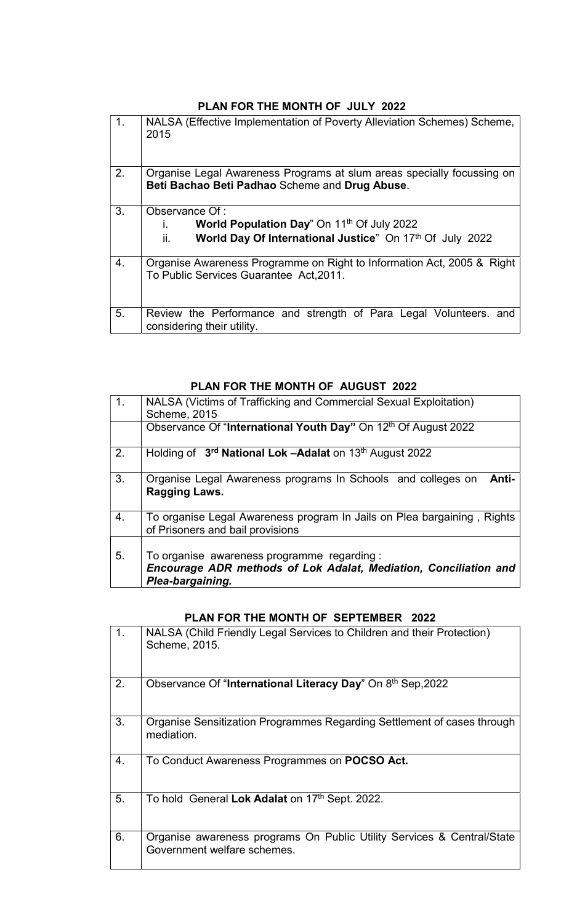### PLAN FOR THE MONTH OF JULY 2022

| $\mathbf{1}$ . | NALSA (Effective Implementation of Poverty Alleviation Schemes) Scheme,<br>2015                                                             |
|----------------|---------------------------------------------------------------------------------------------------------------------------------------------|
| 2.             | Organise Legal Awareness Programs at slum areas specially focussing on<br>Beti Bachao Beti Padhao Scheme and Drug Abuse.                    |
| 3 <sub>1</sub> | Observance Of:<br>World Population Day" On 11 <sup>th</sup> Of July 2022<br>World Day Of International Justice" On 17th Of July 2022<br>ii. |
| 4.             | Organise Awareness Programme on Right to Information Act, 2005 & Right<br>To Public Services Guarantee Act, 2011.                           |
| 5.             | Review the Performance and strength of Para Legal Volunteers. and<br>considering their utility.                                             |

### PLAN FOR THE MONTH OF AUGUST 2022

| $\mathbf{1}$ . | NALSA (Victims of Trafficking and Commercial Sexual Exploitation)<br><b>Scheme, 2015</b>                                           |
|----------------|------------------------------------------------------------------------------------------------------------------------------------|
|                | Observance Of "International Youth Day" On 12th Of August 2022                                                                     |
| 2.             | Holding of 3 <sup>rd</sup> National Lok -Adalat on 13 <sup>th</sup> August 2022                                                    |
| 3.             | Organise Legal Awareness programs In Schools and colleges on<br><b>Anti-</b><br>Ragging Laws.                                      |
| 4.             | To organise Legal Awareness program In Jails on Plea bargaining, Rights<br>of Prisoners and bail provisions                        |
| 5.             | To organise awareness programme regarding:<br>Encourage ADR methods of Lok Adalat, Mediation, Conciliation and<br>Plea-bargaining. |

### PLAN FOR THE MONTH OF SEPTEMBER 2022

| $\mathbf{1}$ . | NALSA (Child Friendly Legal Services to Children and their Protection)<br>Scheme, 2015.               |
|----------------|-------------------------------------------------------------------------------------------------------|
| 2.             | Observance Of "International Literacy Day" On 8th Sep, 2022                                           |
| 3.             | Organise Sensitization Programmes Regarding Settlement of cases through<br>mediation.                 |
| 4.             | To Conduct Awareness Programmes on POCSO Act.                                                         |
| 5.             | To hold General Lok Adalat on 17th Sept. 2022.                                                        |
| 6.             | Organise awareness programs On Public Utility Services & Central/State<br>Government welfare schemes. |